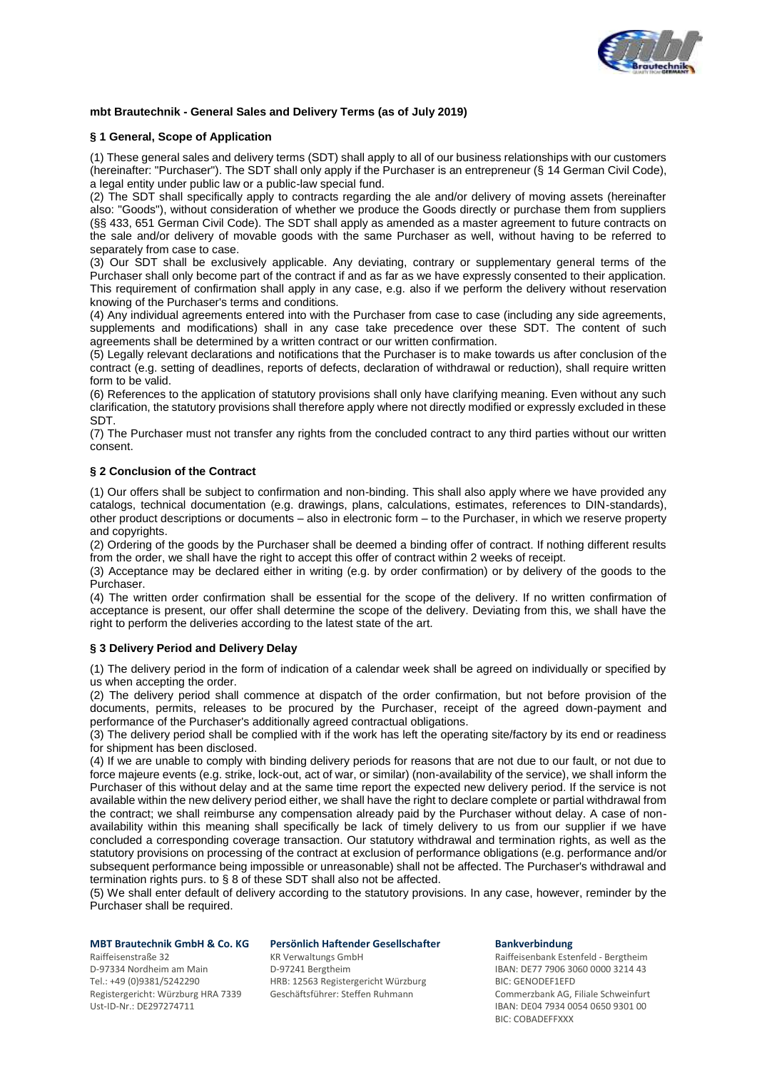

# **mbt Brautechnik - General Sales and Delivery Terms (as of July 2019)**

### **§ 1 General, Scope of Application**

(1) These general sales and delivery terms (SDT) shall apply to all of our business relationships with our customers (hereinafter: "Purchaser"). The SDT shall only apply if the Purchaser is an entrepreneur (§ 14 German Civil Code), a legal entity under public law or a public-law special fund.

(2) The SDT shall specifically apply to contracts regarding the ale and/or delivery of moving assets (hereinafter also: "Goods"), without consideration of whether we produce the Goods directly or purchase them from suppliers (§§ 433, 651 German Civil Code). The SDT shall apply as amended as a master agreement to future contracts on the sale and/or delivery of movable goods with the same Purchaser as well, without having to be referred to separately from case to case.

(3) Our SDT shall be exclusively applicable. Any deviating, contrary or supplementary general terms of the Purchaser shall only become part of the contract if and as far as we have expressly consented to their application. This requirement of confirmation shall apply in any case, e.g. also if we perform the delivery without reservation knowing of the Purchaser's terms and conditions.

(4) Any individual agreements entered into with the Purchaser from case to case (including any side agreements, supplements and modifications) shall in any case take precedence over these SDT. The content of such agreements shall be determined by a written contract or our written confirmation.

(5) Legally relevant declarations and notifications that the Purchaser is to make towards us after conclusion of the contract (e.g. setting of deadlines, reports of defects, declaration of withdrawal or reduction), shall require written form to be valid.

(6) References to the application of statutory provisions shall only have clarifying meaning. Even without any such clarification, the statutory provisions shall therefore apply where not directly modified or expressly excluded in these SDT.

(7) The Purchaser must not transfer any rights from the concluded contract to any third parties without our written consent.

# **§ 2 Conclusion of the Contract**

(1) Our offers shall be subject to confirmation and non-binding. This shall also apply where we have provided any catalogs, technical documentation (e.g. drawings, plans, calculations, estimates, references to DIN-standards), other product descriptions or documents – also in electronic form – to the Purchaser, in which we reserve property and copyrights.

(2) Ordering of the goods by the Purchaser shall be deemed a binding offer of contract. If nothing different results from the order, we shall have the right to accept this offer of contract within 2 weeks of receipt.

(3) Acceptance may be declared either in writing (e.g. by order confirmation) or by delivery of the goods to the Purchaser.

(4) The written order confirmation shall be essential for the scope of the delivery. If no written confirmation of acceptance is present, our offer shall determine the scope of the delivery. Deviating from this, we shall have the right to perform the deliveries according to the latest state of the art.

### **§ 3 Delivery Period and Delivery Delay**

(1) The delivery period in the form of indication of a calendar week shall be agreed on individually or specified by us when accepting the order.

(2) The delivery period shall commence at dispatch of the order confirmation, but not before provision of the documents, permits, releases to be procured by the Purchaser, receipt of the agreed down-payment and performance of the Purchaser's additionally agreed contractual obligations.

(3) The delivery period shall be complied with if the work has left the operating site/factory by its end or readiness for shipment has been disclosed.

(4) If we are unable to comply with binding delivery periods for reasons that are not due to our fault, or not due to force majeure events (e.g. strike, lock-out, act of war, or similar) (non-availability of the service), we shall inform the Purchaser of this without delay and at the same time report the expected new delivery period. If the service is not available within the new delivery period either, we shall have the right to declare complete or partial withdrawal from the contract; we shall reimburse any compensation already paid by the Purchaser without delay. A case of nonavailability within this meaning shall specifically be lack of timely delivery to us from our supplier if we have concluded a corresponding coverage transaction. Our statutory withdrawal and termination rights, as well as the statutory provisions on processing of the contract at exclusion of performance obligations (e.g. performance and/or subsequent performance being impossible or unreasonable) shall not be affected. The Purchaser's withdrawal and termination rights purs. to § 8 of these SDT shall also not be affected.

(5) We shall enter default of delivery according to the statutory provisions. In any case, however, reminder by the Purchaser shall be required.

D-97334 Nordheim am Main <br>
Tel.: +49 (0)9381/5242290 Tel.: +49 (0)9381/5242290 HRB: 12563 Registergericht Würzburg BIC: GENODEF1EFD

# **MBT Brautechnik GmbH & Co. KG Persönlich Haftender Gesellschafter Bankverbindung**

HRB: 12563 Registergericht Würzburg

Raiffeisenstraße 32 KR Verwaltungs GmbH Raiffeisenbank Estenfeld - Bergtheim Registergericht: Würzburg HRA 7339 Geschäftsführer: Steffen Ruhmann Commerzbank AG, Filiale Schweinfurt Ust-ID-Nr.: DE297274711 Ust-ID-Nr.: DE297274711 IBAN: DE04 7934 0054 0650 9301 00 BIC: COBADEFFXXX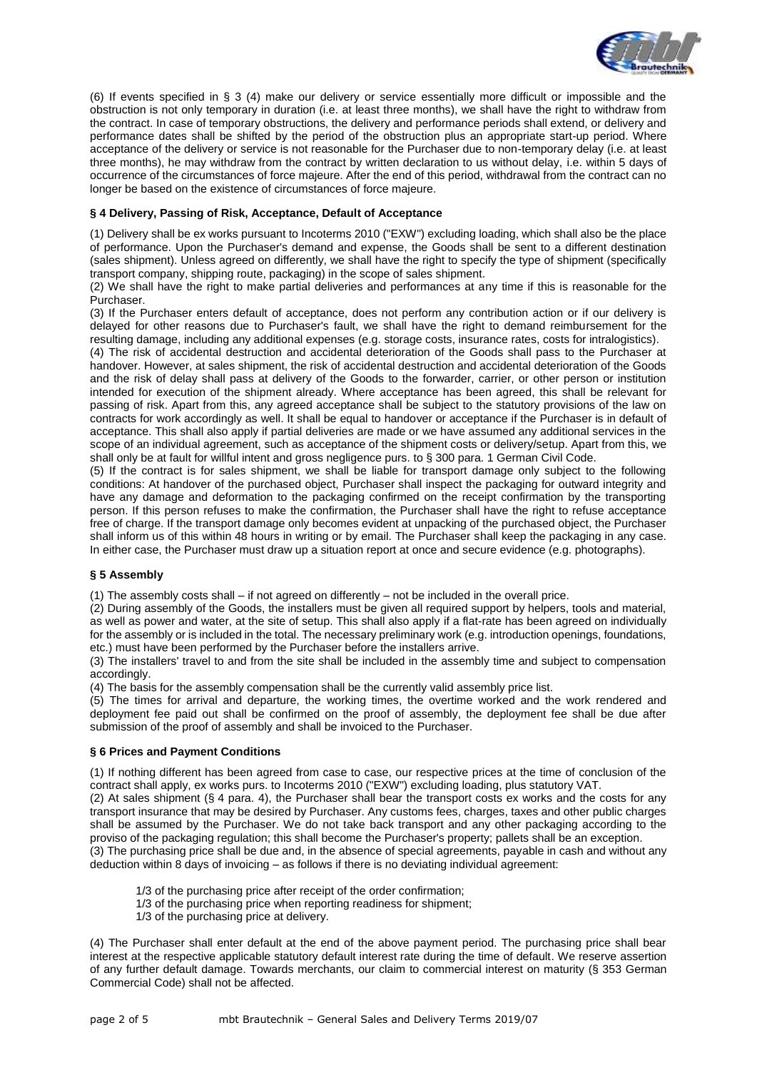

(6) If events specified in § 3 (4) make our delivery or service essentially more difficult or impossible and the obstruction is not only temporary in duration (i.e. at least three months), we shall have the right to withdraw from the contract. In case of temporary obstructions, the delivery and performance periods shall extend, or delivery and performance dates shall be shifted by the period of the obstruction plus an appropriate start-up period. Where acceptance of the delivery or service is not reasonable for the Purchaser due to non-temporary delay (i.e. at least three months), he may withdraw from the contract by written declaration to us without delay, i.e. within 5 days of occurrence of the circumstances of force majeure. After the end of this period, withdrawal from the contract can no longer be based on the existence of circumstances of force majeure.

# **§ 4 Delivery, Passing of Risk, Acceptance, Default of Acceptance**

(1) Delivery shall be ex works pursuant to Incoterms 2010 ("EXW") excluding loading, which shall also be the place of performance. Upon the Purchaser's demand and expense, the Goods shall be sent to a different destination (sales shipment). Unless agreed on differently, we shall have the right to specify the type of shipment (specifically transport company, shipping route, packaging) in the scope of sales shipment.

(2) We shall have the right to make partial deliveries and performances at any time if this is reasonable for the Purchaser.

(3) If the Purchaser enters default of acceptance, does not perform any contribution action or if our delivery is delayed for other reasons due to Purchaser's fault, we shall have the right to demand reimbursement for the resulting damage, including any additional expenses (e.g. storage costs, insurance rates, costs for intralogistics).

(4) The risk of accidental destruction and accidental deterioration of the Goods shall pass to the Purchaser at handover. However, at sales shipment, the risk of accidental destruction and accidental deterioration of the Goods and the risk of delay shall pass at delivery of the Goods to the forwarder, carrier, or other person or institution intended for execution of the shipment already. Where acceptance has been agreed, this shall be relevant for passing of risk. Apart from this, any agreed acceptance shall be subject to the statutory provisions of the law on contracts for work accordingly as well. It shall be equal to handover or acceptance if the Purchaser is in default of acceptance. This shall also apply if partial deliveries are made or we have assumed any additional services in the scope of an individual agreement, such as acceptance of the shipment costs or delivery/setup. Apart from this, we shall only be at fault for willful intent and gross negligence purs. to § 300 para. 1 German Civil Code.

(5) If the contract is for sales shipment, we shall be liable for transport damage only subject to the following conditions: At handover of the purchased object, Purchaser shall inspect the packaging for outward integrity and have any damage and deformation to the packaging confirmed on the receipt confirmation by the transporting person. If this person refuses to make the confirmation, the Purchaser shall have the right to refuse acceptance free of charge. If the transport damage only becomes evident at unpacking of the purchased object, the Purchaser shall inform us of this within 48 hours in writing or by email. The Purchaser shall keep the packaging in any case. In either case, the Purchaser must draw up a situation report at once and secure evidence (e.g. photographs).

### **§ 5 Assembly**

(1) The assembly costs shall – if not agreed on differently – not be included in the overall price.

(2) During assembly of the Goods, the installers must be given all required support by helpers, tools and material, as well as power and water, at the site of setup. This shall also apply if a flat-rate has been agreed on individually for the assembly or is included in the total. The necessary preliminary work (e.g. introduction openings, foundations, etc.) must have been performed by the Purchaser before the installers arrive.

(3) The installers' travel to and from the site shall be included in the assembly time and subject to compensation accordingly.

(4) The basis for the assembly compensation shall be the currently valid assembly price list.

(5) The times for arrival and departure, the working times, the overtime worked and the work rendered and deployment fee paid out shall be confirmed on the proof of assembly, the deployment fee shall be due after submission of the proof of assembly and shall be invoiced to the Purchaser.

### **§ 6 Prices and Payment Conditions**

(1) If nothing different has been agreed from case to case, our respective prices at the time of conclusion of the contract shall apply, ex works purs. to Incoterms 2010 ("EXW") excluding loading, plus statutory VAT.

(2) At sales shipment (§ 4 para. 4), the Purchaser shall bear the transport costs ex works and the costs for any transport insurance that may be desired by Purchaser. Any customs fees, charges, taxes and other public charges shall be assumed by the Purchaser. We do not take back transport and any other packaging according to the proviso of the packaging regulation; this shall become the Purchaser's property; pallets shall be an exception.

(3) The purchasing price shall be due and, in the absence of special agreements, payable in cash and without any deduction within 8 days of invoicing – as follows if there is no deviating individual agreement:

- 1/3 of the purchasing price after receipt of the order confirmation;
- 1/3 of the purchasing price when reporting readiness for shipment;
- 1/3 of the purchasing price at delivery.

(4) The Purchaser shall enter default at the end of the above payment period. The purchasing price shall bear interest at the respective applicable statutory default interest rate during the time of default. We reserve assertion of any further default damage. Towards merchants, our claim to commercial interest on maturity (§ 353 German Commercial Code) shall not be affected.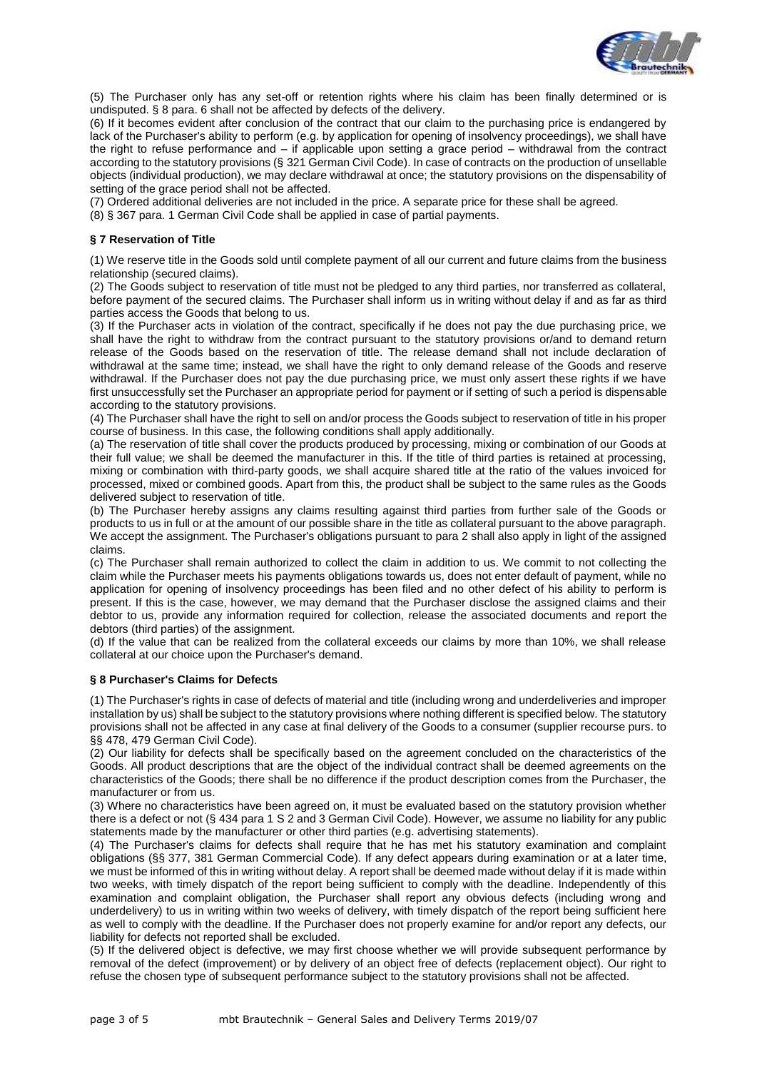

(5) The Purchaser only has any set-off or retention rights where his claim has been finally determined or is undisputed. § 8 para. 6 shall not be affected by defects of the delivery.

(6) If it becomes evident after conclusion of the contract that our claim to the purchasing price is endangered by lack of the Purchaser's ability to perform (e.g. by application for opening of insolvency proceedings), we shall have the right to refuse performance and – if applicable upon setting a grace period – withdrawal from the contract according to the statutory provisions (§ 321 German Civil Code). In case of contracts on the production of unsellable objects (individual production), we may declare withdrawal at once; the statutory provisions on the dispensability of setting of the grace period shall not be affected.

(7) Ordered additional deliveries are not included in the price. A separate price for these shall be agreed.

(8) § 367 para. 1 German Civil Code shall be applied in case of partial payments.

# **§ 7 Reservation of Title**

(1) We reserve title in the Goods sold until complete payment of all our current and future claims from the business relationship (secured claims).

(2) The Goods subject to reservation of title must not be pledged to any third parties, nor transferred as collateral, before payment of the secured claims. The Purchaser shall inform us in writing without delay if and as far as third parties access the Goods that belong to us.

(3) If the Purchaser acts in violation of the contract, specifically if he does not pay the due purchasing price, we shall have the right to withdraw from the contract pursuant to the statutory provisions or/and to demand return release of the Goods based on the reservation of title. The release demand shall not include declaration of withdrawal at the same time; instead, we shall have the right to only demand release of the Goods and reserve withdrawal. If the Purchaser does not pay the due purchasing price, we must only assert these rights if we have first unsuccessfully set the Purchaser an appropriate period for payment or if setting of such a period is dispensable according to the statutory provisions.

(4) The Purchaser shall have the right to sell on and/or process the Goods subject to reservation of title in his proper course of business. In this case, the following conditions shall apply additionally.

(a) The reservation of title shall cover the products produced by processing, mixing or combination of our Goods at their full value; we shall be deemed the manufacturer in this. If the title of third parties is retained at processing, mixing or combination with third-party goods, we shall acquire shared title at the ratio of the values invoiced for processed, mixed or combined goods. Apart from this, the product shall be subject to the same rules as the Goods delivered subject to reservation of title.

(b) The Purchaser hereby assigns any claims resulting against third parties from further sale of the Goods or products to us in full or at the amount of our possible share in the title as collateral pursuant to the above paragraph. We accept the assignment. The Purchaser's obligations pursuant to para 2 shall also apply in light of the assigned claims.

(c) The Purchaser shall remain authorized to collect the claim in addition to us. We commit to not collecting the claim while the Purchaser meets his payments obligations towards us, does not enter default of payment, while no application for opening of insolvency proceedings has been filed and no other defect of his ability to perform is present. If this is the case, however, we may demand that the Purchaser disclose the assigned claims and their debtor to us, provide any information required for collection, release the associated documents and report the debtors (third parties) of the assignment.

(d) If the value that can be realized from the collateral exceeds our claims by more than 10%, we shall release collateral at our choice upon the Purchaser's demand.

### **§ 8 Purchaser's Claims for Defects**

(1) The Purchaser's rights in case of defects of material and title (including wrong and underdeliveries and improper installation by us) shall be subject to the statutory provisions where nothing different is specified below. The statutory provisions shall not be affected in any case at final delivery of the Goods to a consumer (supplier recourse purs. to §§ 478, 479 German Civil Code).

(2) Our liability for defects shall be specifically based on the agreement concluded on the characteristics of the Goods. All product descriptions that are the object of the individual contract shall be deemed agreements on the characteristics of the Goods; there shall be no difference if the product description comes from the Purchaser, the manufacturer or from us.

(3) Where no characteristics have been agreed on, it must be evaluated based on the statutory provision whether there is a defect or not (§ 434 para 1 S 2 and 3 German Civil Code). However, we assume no liability for any public statements made by the manufacturer or other third parties (e.g. advertising statements).

(4) The Purchaser's claims for defects shall require that he has met his statutory examination and complaint obligations (§§ 377, 381 German Commercial Code). If any defect appears during examination or at a later time, we must be informed of this in writing without delay. A report shall be deemed made without delay if it is made within two weeks, with timely dispatch of the report being sufficient to comply with the deadline. Independently of this examination and complaint obligation, the Purchaser shall report any obvious defects (including wrong and underdelivery) to us in writing within two weeks of delivery, with timely dispatch of the report being sufficient here as well to comply with the deadline. If the Purchaser does not properly examine for and/or report any defects, our liability for defects not reported shall be excluded.

(5) If the delivered object is defective, we may first choose whether we will provide subsequent performance by removal of the defect (improvement) or by delivery of an object free of defects (replacement object). Our right to refuse the chosen type of subsequent performance subject to the statutory provisions shall not be affected.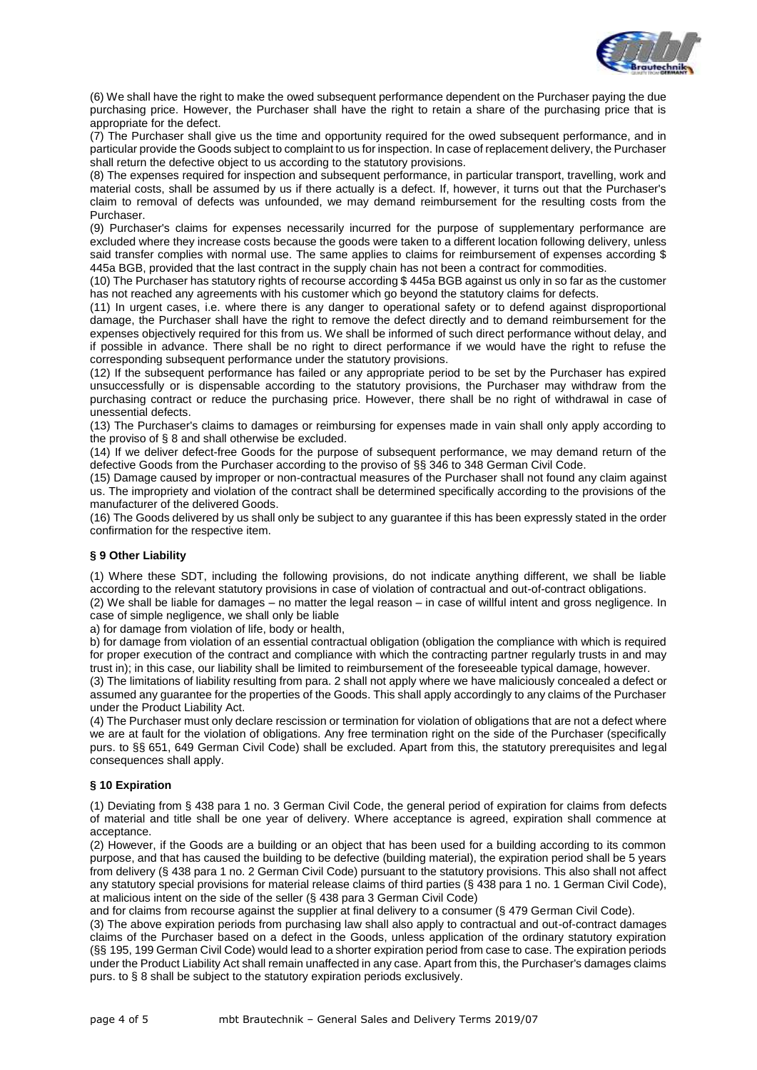

(6) We shall have the right to make the owed subsequent performance dependent on the Purchaser paying the due purchasing price. However, the Purchaser shall have the right to retain a share of the purchasing price that is appropriate for the defect.

(7) The Purchaser shall give us the time and opportunity required for the owed subsequent performance, and in particular provide the Goods subject to complaint to us for inspection. In case of replacement delivery, the Purchaser shall return the defective object to us according to the statutory provisions.

(8) The expenses required for inspection and subsequent performance, in particular transport, travelling, work and material costs, shall be assumed by us if there actually is a defect. If, however, it turns out that the Purchaser's claim to removal of defects was unfounded, we may demand reimbursement for the resulting costs from the Purchaser.

(9) Purchaser's claims for expenses necessarily incurred for the purpose of supplementary performance are excluded where they increase costs because the goods were taken to a different location following delivery, unless said transfer complies with normal use. The same applies to claims for reimbursement of expenses according \$ 445a BGB, provided that the last contract in the supply chain has not been a contract for commodities.

(10) The Purchaser has statutory rights of recourse according \$ 445a BGB against us only in so far as the customer has not reached any agreements with his customer which go beyond the statutory claims for defects.

(11) In urgent cases, i.e. where there is any danger to operational safety or to defend against disproportional damage, the Purchaser shall have the right to remove the defect directly and to demand reimbursement for the expenses objectively required for this from us. We shall be informed of such direct performance without delay, and if possible in advance. There shall be no right to direct performance if we would have the right to refuse the corresponding subsequent performance under the statutory provisions.

(12) If the subsequent performance has failed or any appropriate period to be set by the Purchaser has expired unsuccessfully or is dispensable according to the statutory provisions, the Purchaser may withdraw from the purchasing contract or reduce the purchasing price. However, there shall be no right of withdrawal in case of unessential defects.

(13) The Purchaser's claims to damages or reimbursing for expenses made in vain shall only apply according to the proviso of § 8 and shall otherwise be excluded.

(14) If we deliver defect-free Goods for the purpose of subsequent performance, we may demand return of the defective Goods from the Purchaser according to the proviso of §§ 346 to 348 German Civil Code.

(15) Damage caused by improper or non-contractual measures of the Purchaser shall not found any claim against us. The impropriety and violation of the contract shall be determined specifically according to the provisions of the manufacturer of the delivered Goods.

(16) The Goods delivered by us shall only be subject to any guarantee if this has been expressly stated in the order confirmation for the respective item.

# **§ 9 Other Liability**

(1) Where these SDT, including the following provisions, do not indicate anything different, we shall be liable according to the relevant statutory provisions in case of violation of contractual and out-of-contract obligations. (2) We shall be liable for damages – no matter the legal reason – in case of willful intent and gross negligence. In

case of simple negligence, we shall only be liable

a) for damage from violation of life, body or health,

b) for damage from violation of an essential contractual obligation (obligation the compliance with which is required for proper execution of the contract and compliance with which the contracting partner regularly trusts in and may trust in); in this case, our liability shall be limited to reimbursement of the foreseeable typical damage, however.

(3) The limitations of liability resulting from para. 2 shall not apply where we have maliciously concealed a defect or assumed any guarantee for the properties of the Goods. This shall apply accordingly to any claims of the Purchaser under the Product Liability Act.

(4) The Purchaser must only declare rescission or termination for violation of obligations that are not a defect where we are at fault for the violation of obligations. Any free termination right on the side of the Purchaser (specifically purs. to §§ 651, 649 German Civil Code) shall be excluded. Apart from this, the statutory prerequisites and legal consequences shall apply.

### **§ 10 Expiration**

(1) Deviating from § 438 para 1 no. 3 German Civil Code, the general period of expiration for claims from defects of material and title shall be one year of delivery. Where acceptance is agreed, expiration shall commence at acceptance.

(2) However, if the Goods are a building or an object that has been used for a building according to its common purpose, and that has caused the building to be defective (building material), the expiration period shall be 5 years from delivery (§ 438 para 1 no. 2 German Civil Code) pursuant to the statutory provisions. This also shall not affect any statutory special provisions for material release claims of third parties (§ 438 para 1 no. 1 German Civil Code), at malicious intent on the side of the seller (§ 438 para 3 German Civil Code)

and for claims from recourse against the supplier at final delivery to a consumer (§ 479 German Civil Code).

(3) The above expiration periods from purchasing law shall also apply to contractual and out-of-contract damages claims of the Purchaser based on a defect in the Goods, unless application of the ordinary statutory expiration (§§ 195, 199 German Civil Code) would lead to a shorter expiration period from case to case. The expiration periods under the Product Liability Act shall remain unaffected in any case. Apart from this, the Purchaser's damages claims purs. to § 8 shall be subject to the statutory expiration periods exclusively.